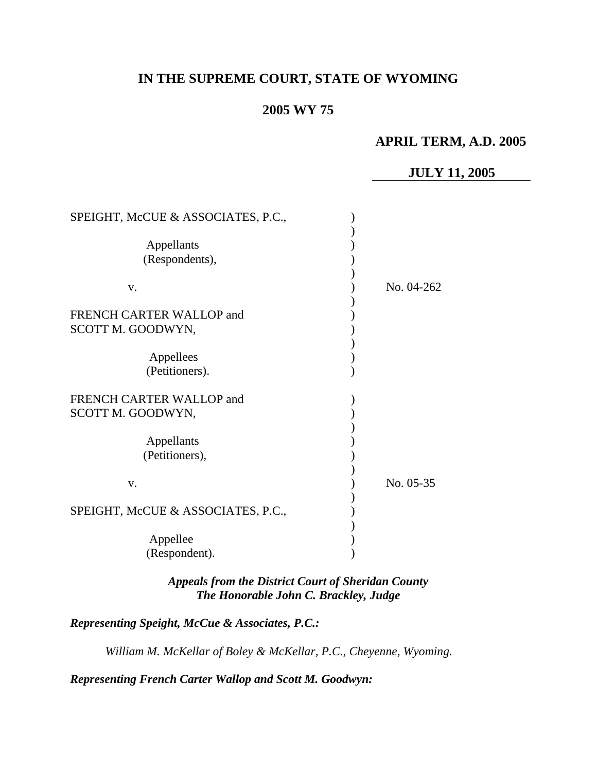## **IN THE SUPREME COURT, STATE OF WYOMING**

### **2005 WY 75**

### **APRIL TERM, A.D. 2005**

# **JULY 11, 2005**

| SPEIGHT, McCUE & ASSOCIATES, P.C.,                                                  |            |
|-------------------------------------------------------------------------------------|------------|
| Appellants<br>(Respondents),                                                        |            |
| V.                                                                                  | No. 04-262 |
| <b>FRENCH CARTER WALLOP and</b><br>SCOTT M. GOODWYN,<br>Appellees<br>(Petitioners). |            |
| FRENCH CARTER WALLOP and<br>SCOTT M. GOODWYN,                                       |            |
| Appellants<br>(Petitioners),                                                        |            |
| V.                                                                                  | No. 05-35  |
| SPEIGHT, McCUE & ASSOCIATES, P.C.,                                                  |            |
| Appellee<br>(Respondent).                                                           |            |

*Appeals from the District Court of Sheridan County The Honorable John C. Brackley, Judge* 

*Representing Speight, McCue & Associates, P.C.:*

*William M. McKellar of Boley & McKellar, P.C., Cheyenne, Wyoming.* 

*Representing French Carter Wallop and Scott M. Goodwyn:*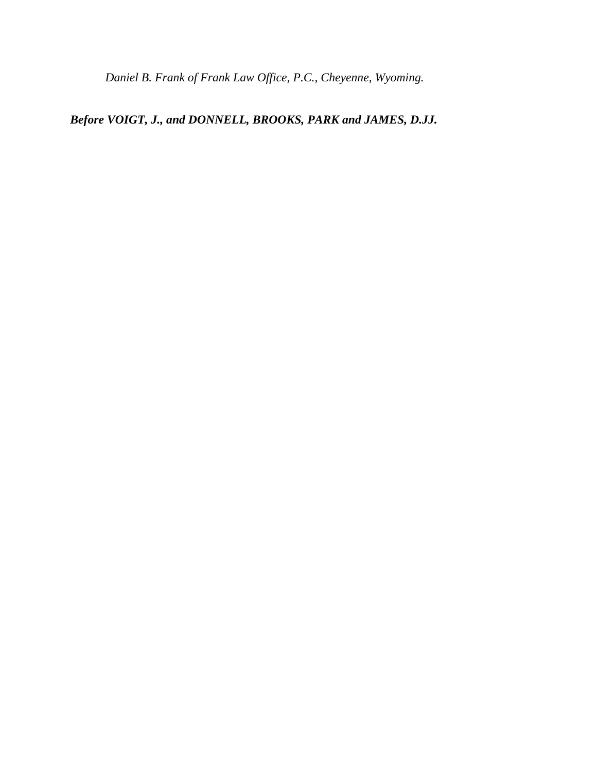*Daniel B. Frank of Frank Law Office, P.C., Cheyenne, Wyoming.* 

# *Before VOIGT, J., and DONNELL, BROOKS, PARK and JAMES, D.JJ.*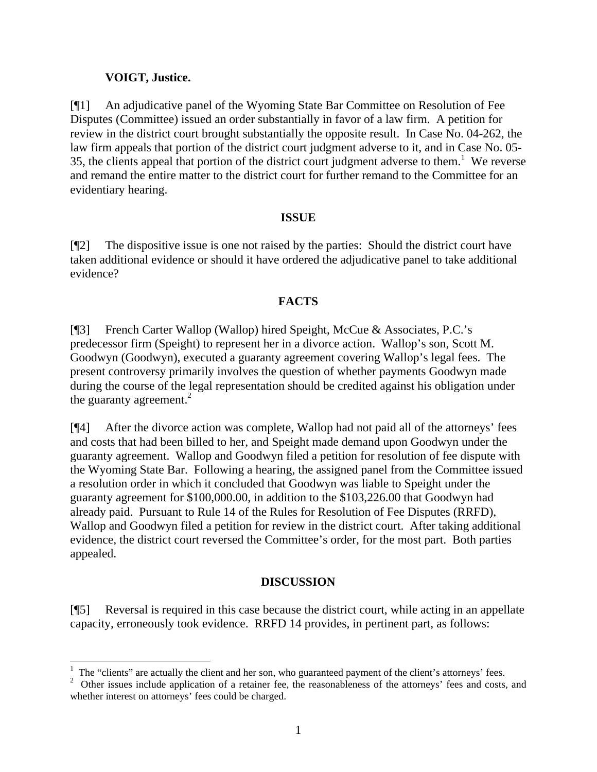#### **VOIGT, Justice.**

 $\overline{a}$ 

[¶1] An adjudicative panel of the Wyoming State Bar Committee on Resolution of Fee Disputes (Committee) issued an order substantially in favor of a law firm. A petition for review in the district court brought substantially the opposite result. In Case No. 04-262, the law firm appeals that portion of the district court judgment adverse to it, and in Case No. 05- 35, the clients appeal that portion of the district court judgment adverse to them.<sup>[1](#page-2-0)</sup> We reverse and remand the entire matter to the district court for further remand to the Committee for an evidentiary hearing.

#### **ISSUE**

[¶2] The dispositive issue is one not raised by the parties: Should the district court have taken additional evidence or should it have ordered the adjudicative panel to take additional evidence?

#### **FACTS**

[¶3] French Carter Wallop (Wallop) hired Speight, McCue & Associates, P.C.'s predecessor firm (Speight) to represent her in a divorce action. Wallop's son, Scott M. Goodwyn (Goodwyn), executed a guaranty agreement covering Wallop's legal fees. The present controversy primarily involves the question of whether payments Goodwyn made during the course of the legal representation should be credited against his obligation under the guaranty agreement. $^{2}$  $^{2}$  $^{2}$ 

[¶4] After the divorce action was complete, Wallop had not paid all of the attorneys' fees and costs that had been billed to her, and Speight made demand upon Goodwyn under the guaranty agreement. Wallop and Goodwyn filed a petition for resolution of fee dispute with the Wyoming State Bar. Following a hearing, the assigned panel from the Committee issued a resolution order in which it concluded that Goodwyn was liable to Speight under the guaranty agreement for \$100,000.00, in addition to the \$103,226.00 that Goodwyn had already paid. Pursuant to Rule 14 of the Rules for Resolution of Fee Disputes (RRFD), Wallop and Goodwyn filed a petition for review in the district court. After taking additional evidence, the district court reversed the Committee's order, for the most part. Both parties appealed.

### **DISCUSSION**

[¶5] Reversal is required in this case because the district court, while acting in an appellate capacity, erroneously took evidence. RRFD 14 provides, in pertinent part, as follows:

<span id="page-2-0"></span><sup>&</sup>lt;sup>1</sup> The "clients" are actually the client and her son, who guaranteed payment of the client's attorneys' fees.

<span id="page-2-1"></span><sup>&</sup>lt;sup>2</sup> Other issues include application of a retainer fee, the reasonableness of the attorneys' fees and costs, and whether interest on attorneys' fees could be charged.